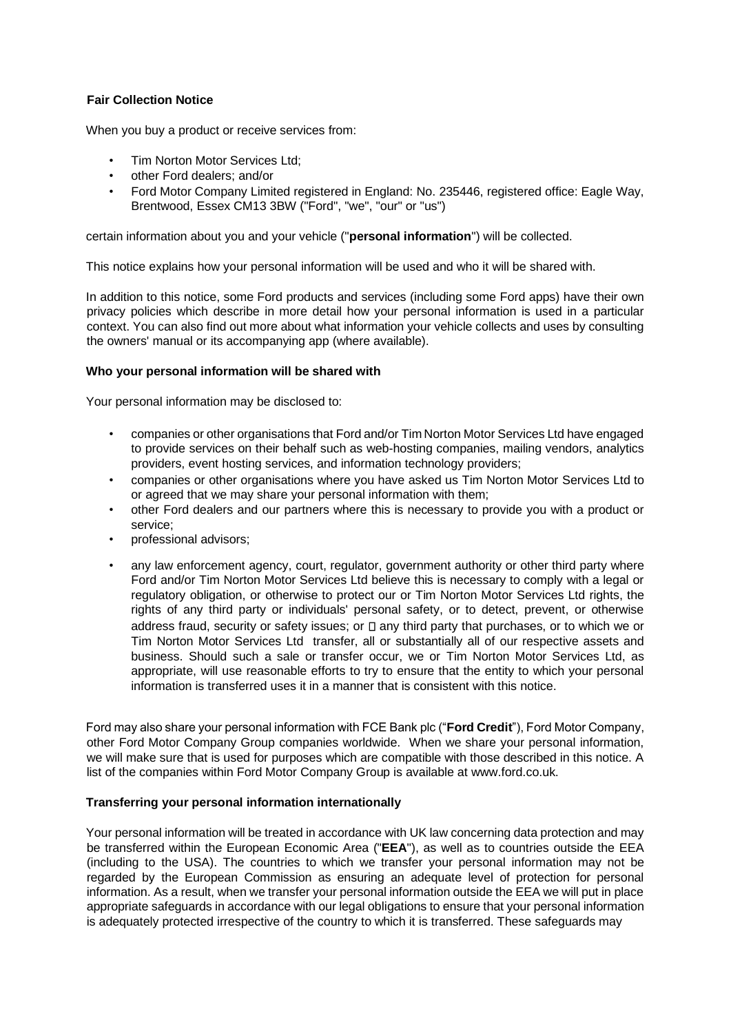# **Fair Collection Notice**

When you buy a product or receive services from:

- Tim Norton Motor Services Ltd;
- other Ford dealers; and/or
- Ford Motor Company Limited registered in England: No. 235446, registered office: Eagle Way, Brentwood, Essex CM13 3BW ("Ford", "we", "our" or "us")

certain information about you and your vehicle ("**personal information**") will be collected.

This notice explains how your personal information will be used and who it will be shared with.

In addition to this notice, some Ford products and services (including some Ford apps) have their own privacy policies which describe in more detail how your personal information is used in a particular context. You can also find out more about what information your vehicle collects and uses by consulting the owners' manual or its accompanying app (where available).

### **Who your personal information will be shared with**

Your personal information may be disclosed to:

- companies or other organisations that Ford and/or Tim Norton Motor Services Ltd have engaged to provide services on their behalf such as web-hosting companies, mailing vendors, analytics providers, event hosting services, and information technology providers;
- companies or other organisations where you have asked us Tim Norton Motor Services Ltd to or agreed that we may share your personal information with them;
- other Ford dealers and our partners where this is necessary to provide you with a product or service;
- professional advisors;
- any law enforcement agency, court, regulator, government authority or other third party where Ford and/or Tim Norton Motor Services Ltd believe this is necessary to comply with a legal or regulatory obligation, or otherwise to protect our or Tim Norton Motor Services Ltd rights, the rights of any third party or individuals' personal safety, or to detect, prevent, or otherwise address fraud, security or safety issues; or  $\square$  any third party that purchases, or to which we or Tim Norton Motor Services Ltd transfer, all or substantially all of our respective assets and business. Should such a sale or transfer occur, we or Tim Norton Motor Services Ltd, as appropriate, will use reasonable efforts to try to ensure that the entity to which your personal information is transferred uses it in a manner that is consistent with this notice.

Ford may also share your personal information with FCE Bank plc ("**Ford Credit**"), Ford Motor Company, other Ford Motor Company Group companies worldwide. When we share your personal information, we will make sure that is used for purposes which are compatible with those described in this notice. A list of the companies within Ford Motor Company Group is available at www.ford.co.uk.

## **Transferring your personal information internationally**

Your personal information will be treated in accordance with UK law concerning data protection and may be transferred within the European Economic Area ("**EEA**"), as well as to countries outside the EEA (including to the USA). The countries to which we transfer your personal information may not be regarded by the European Commission as ensuring an adequate level of protection for personal information. As a result, when we transfer your personal information outside the EEA we will put in place appropriate safeguards in accordance with our legal obligations to ensure that your personal information is adequately protected irrespective of the country to which it is transferred. These safeguards may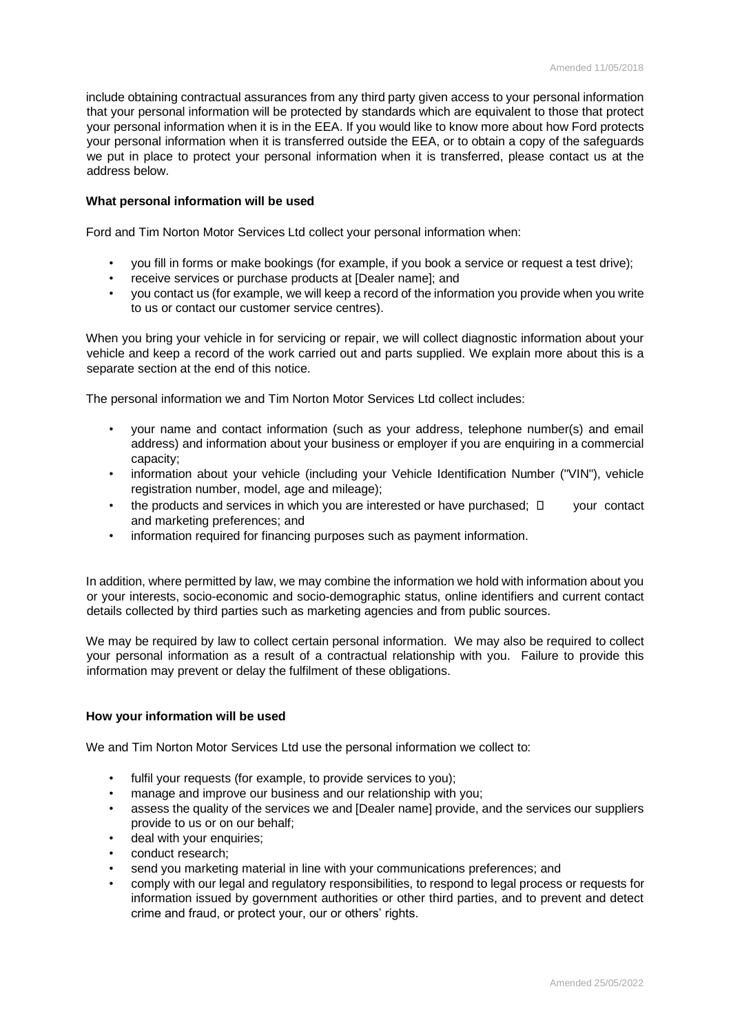include obtaining contractual assurances from any third party given access to your personal information that your personal information will be protected by standards which are equivalent to those that protect your personal information when it is in the EEA. If you would like to know more about how Ford protects your personal information when it is transferred outside the EEA, or to obtain a copy of the safeguards we put in place to protect your personal information when it is transferred, please contact us at the address below.

### **What personal information will be used**

Ford and Tim Norton Motor Services Ltd collect your personal information when:

- you fill in forms or make bookings (for example, if you book a service or request a test drive);
- receive services or purchase products at [Dealer name]; and
- you contact us (for example, we will keep a record of the information you provide when you write to us or contact our customer service centres).

When you bring your vehicle in for servicing or repair, we will collect diagnostic information about your vehicle and keep a record of the work carried out and parts supplied. We explain more about this is a separate section at the end of this notice.

The personal information we and Tim Norton Motor Services Ltd collect includes:

- your name and contact information (such as your address, telephone number(s) and email address) and information about your business or employer if you are enquiring in a commercial capacity;
- information about your vehicle (including your Vehicle Identification Number ("VIN"), vehicle registration number, model, age and mileage);
- the products and services in which you are interested or have purchased;  $\Box$  your contact and marketing preferences; and
- information required for financing purposes such as payment information.

In addition, where permitted by law, we may combine the information we hold with information about you or your interests, socio-economic and socio-demographic status, online identifiers and current contact details collected by third parties such as marketing agencies and from public sources.

We may be required by law to collect certain personal information. We may also be required to collect your personal information as a result of a contractual relationship with you. Failure to provide this information may prevent or delay the fulfilment of these obligations.

## **How your information will be used**

We and Tim Norton Motor Services Ltd use the personal information we collect to:

- fulfil your requests (for example, to provide services to you);
- manage and improve our business and our relationship with you;
- assess the quality of the services we and [Dealer name] provide, and the services our suppliers provide to us or on our behalf;
- deal with your enquiries;
- conduct research:
- send you marketing material in line with your communications preferences; and
- comply with our legal and regulatory responsibilities, to respond to legal process or requests for information issued by government authorities or other third parties, and to prevent and detect crime and fraud, or protect your, our or others' rights.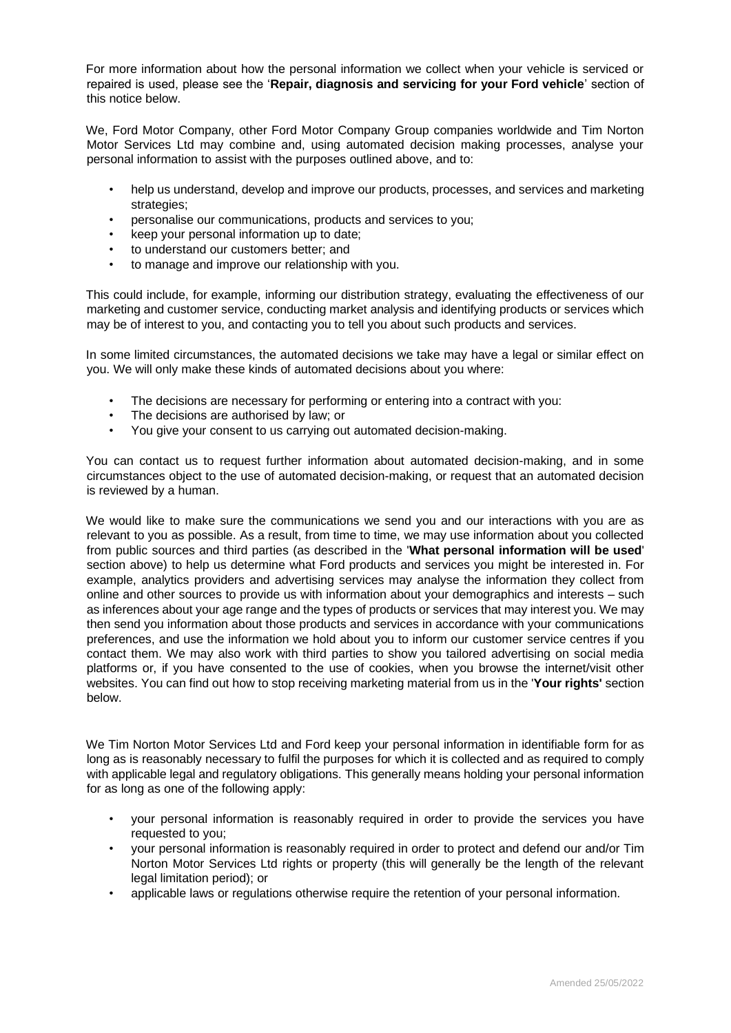For more information about how the personal information we collect when your vehicle is serviced or repaired is used, please see the '**Repair, diagnosis and servicing for your Ford vehicle**' section of this notice below.

We, Ford Motor Company, other Ford Motor Company Group companies worldwide and Tim Norton Motor Services Ltd may combine and, using automated decision making processes, analyse your personal information to assist with the purposes outlined above, and to:

- help us understand, develop and improve our products, processes, and services and marketing strategies;
- personalise our communications, products and services to you;
- keep your personal information up to date;
- to understand our customers better; and
- to manage and improve our relationship with you.

This could include, for example, informing our distribution strategy, evaluating the effectiveness of our marketing and customer service, conducting market analysis and identifying products or services which may be of interest to you, and contacting you to tell you about such products and services.

In some limited circumstances, the automated decisions we take may have a legal or similar effect on you. We will only make these kinds of automated decisions about you where:

- The decisions are necessary for performing or entering into a contract with you:
- The decisions are authorised by law; or
- You give your consent to us carrying out automated decision-making.

You can contact us to request further information about automated decision-making, and in some circumstances object to the use of automated decision-making, or request that an automated decision is reviewed by a human.

We would like to make sure the communications we send you and our interactions with you are as relevant to you as possible. As a result, from time to time, we may use information about you collected from public sources and third parties (as described in the '**What personal information will be used**' section above) to help us determine what Ford products and services you might be interested in. For example, analytics providers and advertising services may analyse the information they collect from online and other sources to provide us with information about your demographics and interests – such as inferences about your age range and the types of products or services that may interest you. We may then send you information about those products and services in accordance with your communications preferences, and use the information we hold about you to inform our customer service centres if you contact them. We may also work with third parties to show you tailored advertising on social media platforms or, if you have consented to the use of cookies, when you browse the internet/visit other websites. You can find out how to stop receiving marketing material from us in the '**Your rights'** section below.

We Tim Norton Motor Services Ltd and Ford keep your personal information in identifiable form for as long as is reasonably necessary to fulfil the purposes for which it is collected and as required to comply with applicable legal and regulatory obligations. This generally means holding your personal information for as long as one of the following apply:

- your personal information is reasonably required in order to provide the services you have requested to you;
- your personal information is reasonably required in order to protect and defend our and/or Tim Norton Motor Services Ltd rights or property (this will generally be the length of the relevant legal limitation period); or
- applicable laws or regulations otherwise require the retention of your personal information.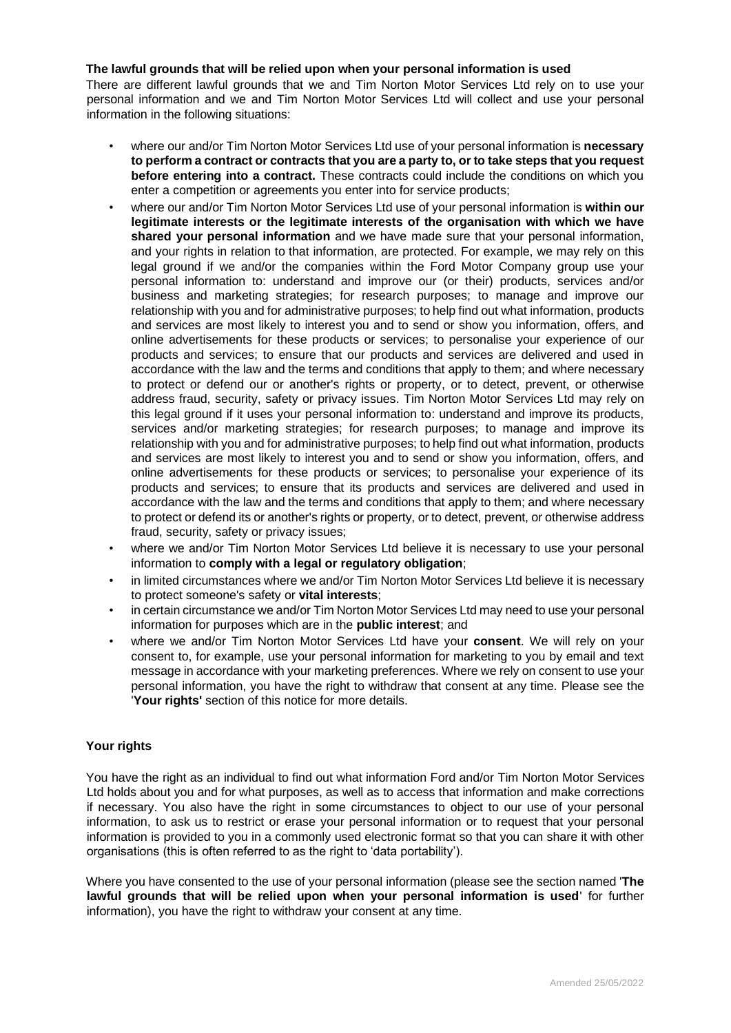### **The lawful grounds that will be relied upon when your personal information is used**

There are different lawful grounds that we and Tim Norton Motor Services Ltd rely on to use your personal information and we and Tim Norton Motor Services Ltd will collect and use your personal information in the following situations:

- where our and/or Tim Norton Motor Services Ltd use of your personal information is **necessary to perform a contract or contracts that you are a party to, or to take steps that you request before entering into a contract.** These contracts could include the conditions on which you enter a competition or agreements you enter into for service products;
- where our and/or Tim Norton Motor Services Ltd use of your personal information is **within our legitimate interests or the legitimate interests of the organisation with which we have shared your personal information** and we have made sure that your personal information, and your rights in relation to that information, are protected. For example, we may rely on this legal ground if we and/or the companies within the Ford Motor Company group use your personal information to: understand and improve our (or their) products, services and/or business and marketing strategies; for research purposes; to manage and improve our relationship with you and for administrative purposes; to help find out what information, products and services are most likely to interest you and to send or show you information, offers, and online advertisements for these products or services; to personalise your experience of our products and services; to ensure that our products and services are delivered and used in accordance with the law and the terms and conditions that apply to them; and where necessary to protect or defend our or another's rights or property, or to detect, prevent, or otherwise address fraud, security, safety or privacy issues. Tim Norton Motor Services Ltd may rely on this legal ground if it uses your personal information to: understand and improve its products, services and/or marketing strategies; for research purposes; to manage and improve its relationship with you and for administrative purposes; to help find out what information, products and services are most likely to interest you and to send or show you information, offers, and online advertisements for these products or services; to personalise your experience of its products and services; to ensure that its products and services are delivered and used in accordance with the law and the terms and conditions that apply to them; and where necessary to protect or defend its or another's rights or property, or to detect, prevent, or otherwise address fraud, security, safety or privacy issues;
- where we and/or Tim Norton Motor Services Ltd believe it is necessary to use your personal information to **comply with a legal or regulatory obligation**;
- in limited circumstances where we and/or Tim Norton Motor Services Ltd believe it is necessary to protect someone's safety or **vital interests**;
- in certain circumstance we and/or Tim Norton Motor Services Ltd may need to use your personal information for purposes which are in the **public interest**; and
- where we and/or Tim Norton Motor Services Ltd have your **consent**. We will rely on your consent to, for example, use your personal information for marketing to you by email and text message in accordance with your marketing preferences. Where we rely on consent to use your personal information, you have the right to withdraw that consent at any time. Please see the '**Your rights'** section of this notice for more details.

## **Your rights**

You have the right as an individual to find out what information Ford and/or Tim Norton Motor Services Ltd holds about you and for what purposes, as well as to access that information and make corrections if necessary. You also have the right in some circumstances to object to our use of your personal information, to ask us to restrict or erase your personal information or to request that your personal information is provided to you in a commonly used electronic format so that you can share it with other organisations (this is often referred to as the right to 'data portability').

Where you have consented to the use of your personal information (please see the section named '**The lawful grounds that will be relied upon when your personal information is used**' for further information), you have the right to withdraw your consent at any time.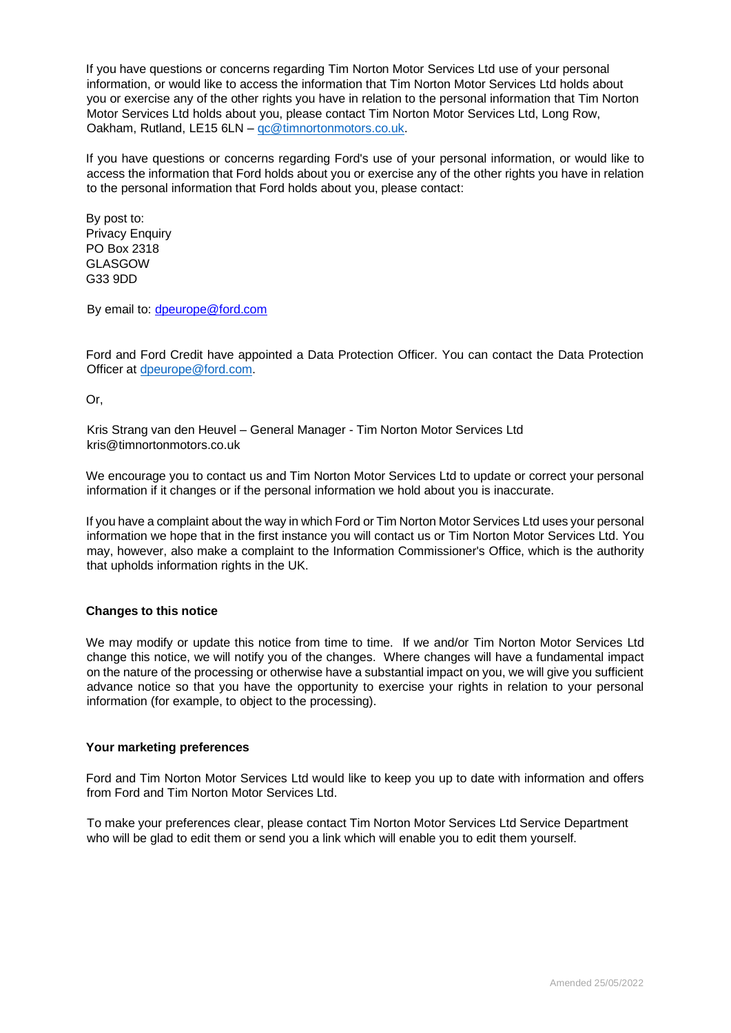If you have questions or concerns regarding Tim Norton Motor Services Ltd use of your personal information, or would like to access the information that Tim Norton Motor Services Ltd holds about you or exercise any of the other rights you have in relation to the personal information that Tim Norton Motor Services Ltd holds about you, please contact Tim Norton Motor Services Ltd, Long Row, Oakham, Rutland, LE15 6LN – [qc@timnortonmotors.co.uk.](mailto:qc@timnortonmotors.co.uk)

If you have questions or concerns regarding Ford's use of your personal information, or would like to access the information that Ford holds about you or exercise any of the other rights you have in relation to the personal information that Ford holds about you, please contact:

By post to: Privacy Enquiry PO Box 2318 GLASGOW G33 9DD

By email to: dpeurope@ford.com

Ford and Ford Credit have appointed a Data Protection Officer. You can contact the Data Protection Officer at [dpeurope@ford.com.](mailto:dpeurope@ford.com)

Or,

Kris Strang van den Heuvel – General Manager - Tim Norton Motor Services Ltd kris@timnortonmotors.co.uk

We encourage you to contact us and Tim Norton Motor Services Ltd to update or correct your personal information if it changes or if the personal information we hold about you is inaccurate.

If you have a complaint about the way in which Ford or Tim Norton Motor Services Ltd uses your personal information we hope that in the first instance you will contact us or Tim Norton Motor Services Ltd. You may, however, also make a complaint to the Information Commissioner's Office, which is the authority that upholds information rights in the UK.

#### **Changes to this notice**

We may modify or update this notice from time to time. If we and/or Tim Norton Motor Services Ltd change this notice, we will notify you of the changes. Where changes will have a fundamental impact on the nature of the processing or otherwise have a substantial impact on you, we will give you sufficient advance notice so that you have the opportunity to exercise your rights in relation to your personal information (for example, to object to the processing).

#### **Your marketing preferences**

Ford and Tim Norton Motor Services Ltd would like to keep you up to date with information and offers from Ford and Tim Norton Motor Services Ltd.

To make your preferences clear, please contact Tim Norton Motor Services Ltd Service Department who will be glad to edit them or send you a link which will enable you to edit them yourself.